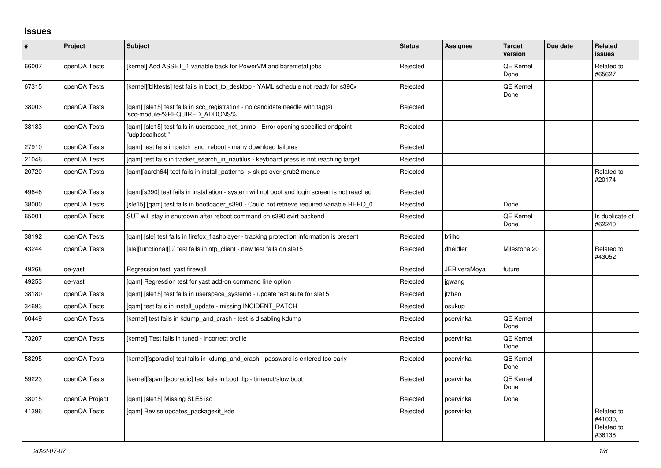## **Issues**

| $\vert$ # | Project        | <b>Subject</b>                                                                                                  | <b>Status</b> | <b>Assignee</b> | <b>Target</b><br>version | Due date | <b>Related</b><br><b>issues</b>               |
|-----------|----------------|-----------------------------------------------------------------------------------------------------------------|---------------|-----------------|--------------------------|----------|-----------------------------------------------|
| 66007     | openQA Tests   | [kernel] Add ASSET_1 variable back for PowerVM and baremetal jobs                                               | Rejected      |                 | QE Kernel<br>Done        |          | Related to<br>#65627                          |
| 67315     | openQA Tests   | [kernel][blktests] test fails in boot to desktop - YAML schedule not ready for s390x                            | Rejected      |                 | QE Kernel<br>Done        |          |                                               |
| 38003     | openQA Tests   | [qam] [sle15] test fails in scc_registration - no candidate needle with tag(s)<br>'scc-module-%REQUIRED ADDONS% | Rejected      |                 |                          |          |                                               |
| 38183     | openQA Tests   | [gam] [sle15] test fails in userspace net snmp - Error opening specified endpoint<br>'udp:localhost:"           | Rejected      |                 |                          |          |                                               |
| 27910     | openQA Tests   | [qam] test fails in patch_and_reboot - many download failures                                                   | Rejected      |                 |                          |          |                                               |
| 21046     | openQA Tests   | [qam] test fails in tracker_search_in_nautilus - keyboard press is not reaching target                          | Rejected      |                 |                          |          |                                               |
| 20720     | openQA Tests   | [gam][aarch64] test fails in install patterns -> skips over grub2 menue                                         | Rejected      |                 |                          |          | Related to<br>#20174                          |
| 49646     | openQA Tests   | [qam][s390] test fails in installation - system will not boot and login screen is not reached                   | Rejected      |                 |                          |          |                                               |
| 38000     | openQA Tests   | [sle15] [gam] test fails in bootloader s390 - Could not retrieve required variable REPO 0                       | Rejected      |                 | Done                     |          |                                               |
| 65001     | openQA Tests   | SUT will stay in shutdown after reboot command on s390 svirt backend                                            | Rejected      |                 | QE Kernel<br>Done        |          | Is duplicate of<br>#62240                     |
| 38192     | openQA Tests   | [qam] [sle] test fails in firefox_flashplayer - tracking protection information is present                      | Rejected      | bfilho          |                          |          |                                               |
| 43244     | openQA Tests   | [sle][functional][u] test fails in ntp_client - new test fails on sle15                                         | Rejected      | dheidler        | Milestone 20             |          | Related to<br>#43052                          |
| 49268     | qe-yast        | Regression test yast firewall                                                                                   | Rejected      | JERiveraMova    | future                   |          |                                               |
| 49253     | qe-yast        | [gam] Regression test for yast add-on command line option                                                       | Rejected      | jgwang          |                          |          |                                               |
| 38180     | openQA Tests   | [gam] [sle15] test fails in userspace systemd - update test suite for sle15                                     | Rejected      | jtzhao          |                          |          |                                               |
| 34693     | openQA Tests   | [gam] test fails in install update - missing INCIDENT PATCH                                                     | Rejected      | osukup          |                          |          |                                               |
| 60449     | openQA Tests   | [kernel] test fails in kdump_and_crash - test is disabling kdump                                                | Rejected      | pcervinka       | QE Kernel<br>Done        |          |                                               |
| 73207     | openQA Tests   | [kernel] Test fails in tuned - incorrect profile                                                                | Rejected      | pcervinka       | QE Kernel<br>Done        |          |                                               |
| 58295     | openQA Tests   | [kernel][sporadic] test fails in kdump_and_crash - password is entered too early                                | Rejected      | pcervinka       | QE Kernel<br>Done        |          |                                               |
| 59223     | openQA Tests   | [kernel][spvm][sporadic] test fails in boot ltp - timeout/slow boot                                             | Rejected      | pcervinka       | QE Kernel<br>Done        |          |                                               |
| 38015     | openQA Project | [gam] [sle15] Missing SLE5 iso                                                                                  | Rejected      | pcervinka       | Done                     |          |                                               |
| 41396     | openQA Tests   | [qam] Revise updates_packagekit_kde                                                                             | Rejected      | pcervinka       |                          |          | Related to<br>#41030.<br>Related to<br>#36138 |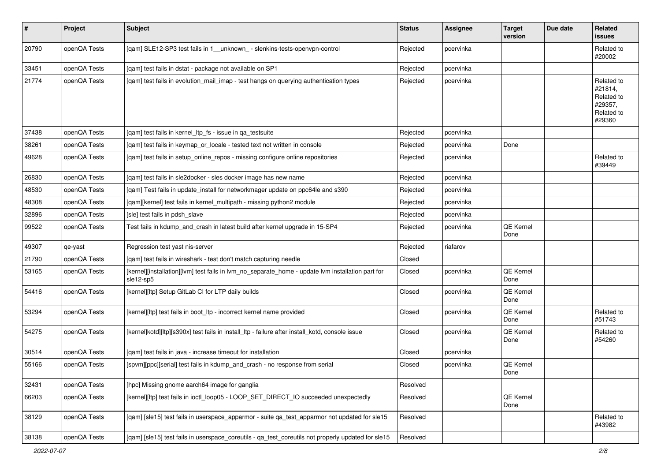| #     | Project      | <b>Subject</b>                                                                                                 | <b>Status</b> | <b>Assignee</b> | <b>Target</b><br>version | Due date | Related<br>issues                                                      |
|-------|--------------|----------------------------------------------------------------------------------------------------------------|---------------|-----------------|--------------------------|----------|------------------------------------------------------------------------|
| 20790 | openQA Tests | [qam] SLE12-SP3 test fails in 1_unknown_ - slenkins-tests-openvpn-control                                      | Rejected      | pcervinka       |                          |          | Related to<br>#20002                                                   |
| 33451 | openQA Tests | [qam] test fails in dstat - package not available on SP1                                                       | Rejected      | pcervinka       |                          |          |                                                                        |
| 21774 | openQA Tests | [qam] test fails in evolution_mail_imap - test hangs on querying authentication types                          | Rejected      | pcervinka       |                          |          | Related to<br>#21814,<br>Related to<br>#29357,<br>Related to<br>#29360 |
| 37438 | openQA Tests | [gam] test fails in kernel Itp fs - issue in ga testsuite                                                      | Rejected      | pcervinka       |                          |          |                                                                        |
| 38261 | openQA Tests | [qam] test fails in keymap_or_locale - tested text not written in console                                      | Rejected      | pcervinka       | Done                     |          |                                                                        |
| 49628 | openQA Tests | [qam] test fails in setup_online_repos - missing configure online repositories                                 | Rejected      | pcervinka       |                          |          | Related to<br>#39449                                                   |
| 26830 | openQA Tests | [gam] test fails in sle2docker - sles docker image has new name                                                | Rejected      | pcervinka       |                          |          |                                                                        |
| 48530 | openQA Tests | [qam] Test fails in update_install for networkmager update on ppc64le and s390                                 | Rejected      | pcervinka       |                          |          |                                                                        |
| 48308 | openQA Tests | [qam][kernel] test fails in kernel_multipath - missing python2 module                                          | Rejected      | pcervinka       |                          |          |                                                                        |
| 32896 | openQA Tests | [sle] test fails in pdsh_slave                                                                                 | Rejected      | pcervinka       |                          |          |                                                                        |
| 99522 | openQA Tests | Test fails in kdump_and_crash in latest build after kernel upgrade in 15-SP4                                   | Rejected      | pcervinka       | QE Kernel<br>Done        |          |                                                                        |
| 49307 | qe-yast      | Regression test yast nis-server                                                                                | Rejected      | riafarov        |                          |          |                                                                        |
| 21790 | openQA Tests | [gam] test fails in wireshark - test don't match capturing needle                                              | Closed        |                 |                          |          |                                                                        |
| 53165 | openQA Tests | [kernel][installation][lvm] test fails in lvm_no_separate_home - update lvm installation part for<br>sle12-sp5 | Closed        | pcervinka       | QE Kernel<br>Done        |          |                                                                        |
| 54416 | openQA Tests | [kernel][ltp] Setup GitLab CI for LTP daily builds                                                             | Closed        | pcervinka       | QE Kernel<br>Done        |          |                                                                        |
| 53294 | openQA Tests | [kernel][ltp] test fails in boot_ltp - incorrect kernel name provided                                          | Closed        | pcervinka       | QE Kernel<br>Done        |          | Related to<br>#51743                                                   |
| 54275 | openQA Tests | [kernel]kotd][ltp][s390x] test fails in install_ltp - failure after install_kotd, console issue                | Closed        | pcervinka       | QE Kernel<br>Done        |          | Related to<br>#54260                                                   |
| 30514 | openQA Tests | [qam] test fails in java - increase timeout for installation                                                   | Closed        | pcervinka       |                          |          |                                                                        |
| 55166 | openQA Tests | [spvm][ppc][serial] test fails in kdump_and_crash - no response from serial                                    | Closed        | pcervinka       | QE Kernel<br>Done        |          |                                                                        |
| 32431 | openQA Tests | [hpc] Missing gnome aarch64 image for ganglia                                                                  | Resolved      |                 |                          |          |                                                                        |
| 66203 | openQA Tests | [kernel][ltp] test fails in ioctl_loop05 - LOOP_SET_DIRECT_IO succeeded unexpectedly                           | Resolved      |                 | QE Kernel<br>Done        |          |                                                                        |
| 38129 | openQA Tests | [qam] [sle15] test fails in userspace_apparmor - suite qa_test_apparmor not updated for sle15                  | Resolved      |                 |                          |          | Related to<br>#43982                                                   |
| 38138 | openQA Tests | [qam] [sle15] test fails in userspace_coreutils - qa_test_coreutils not properly updated for sle15             | Resolved      |                 |                          |          |                                                                        |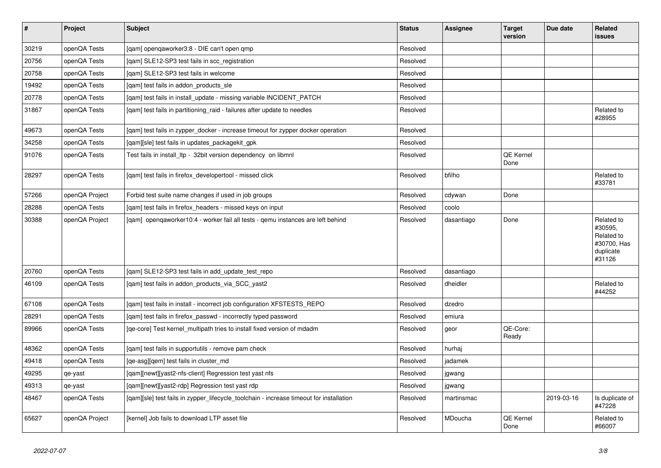| $\vert$ # | Project        | <b>Subject</b>                                                                          | <b>Status</b> | <b>Assignee</b> | <b>Target</b><br>version | Due date   | <b>Related</b><br>issues                                                  |
|-----------|----------------|-----------------------------------------------------------------------------------------|---------------|-----------------|--------------------------|------------|---------------------------------------------------------------------------|
| 30219     | openQA Tests   | [qam] openqaworker3:8 - DIE can't open qmp                                              | Resolved      |                 |                          |            |                                                                           |
| 20756     | openQA Tests   | [gam] SLE12-SP3 test fails in scc registration                                          | Resolved      |                 |                          |            |                                                                           |
| 20758     | openQA Tests   | [qam] SLE12-SP3 test fails in welcome                                                   | Resolved      |                 |                          |            |                                                                           |
| 19492     | openQA Tests   | [qam] test fails in addon_products_sle                                                  | Resolved      |                 |                          |            |                                                                           |
| 20778     | openQA Tests   | [qam] test fails in install_update - missing variable INCIDENT_PATCH                    | Resolved      |                 |                          |            |                                                                           |
| 31867     | openQA Tests   | [gam] test fails in partitioning raid - failures after update to needles                | Resolved      |                 |                          |            | Related to<br>#28955                                                      |
| 49673     | openQA Tests   | [qam] test fails in zypper_docker - increase timeout for zypper docker operation        | Resolved      |                 |                          |            |                                                                           |
| 34258     | openQA Tests   | [gam][sle] test fails in updates packagekit gpk                                         | Resolved      |                 |                          |            |                                                                           |
| 91076     | openQA Tests   | Test fails in install_ltp - 32bit version dependency on libmnl                          | Resolved      |                 | QE Kernel<br>Done        |            |                                                                           |
| 28297     | openQA Tests   | [gam] test fails in firefox developertool - missed click                                | Resolved      | bfilho          |                          |            | Related to<br>#33781                                                      |
| 57266     | openQA Project | Forbid test suite name changes if used in job groups                                    | Resolved      | cdywan          | Done                     |            |                                                                           |
| 28288     | openQA Tests   | [qam] test fails in firefox_headers - missed keys on input                              | Resolved      | coolo           |                          |            |                                                                           |
| 30388     | openQA Project | [gam] opengaworker10:4 - worker fail all tests - gemu instances are left behind         | Resolved      | dasantiago      | Done                     |            | Related to<br>#30595,<br>Related to<br>#30700, Has<br>duplicate<br>#31126 |
| 20760     | openQA Tests   | [qam] SLE12-SP3 test fails in add_update_test_repo                                      | Resolved      | dasantiago      |                          |            |                                                                           |
| 46109     | openQA Tests   | [qam] test fails in addon_products_via_SCC_yast2                                        | Resolved      | dheidler        |                          |            | Related to<br>#44252                                                      |
| 67108     | openQA Tests   | [gam] test fails in install - incorrect job configuration XFSTESTS REPO                 | Resolved      | dzedro          |                          |            |                                                                           |
| 28291     | openQA Tests   | [qam] test fails in firefox_passwd - incorrectly typed password                         | Resolved      | emiura          |                          |            |                                                                           |
| 89966     | openQA Tests   | [qe-core] Test kernel_multipath tries to install fixed version of mdadm                 | Resolved      | geor            | QE-Core:<br>Ready        |            |                                                                           |
| 48362     | openQA Tests   | [qam] test fails in supportutils - remove pam check                                     | Resolved      | hurhaj          |                          |            |                                                                           |
| 49418     | openQA Tests   | [qe-asg][qem] test fails in cluster_md                                                  | Resolved      | jadamek         |                          |            |                                                                           |
| 49295     | qe-yast        | [gam][newt][yast2-nfs-client] Regression test yast nfs                                  | Resolved      | jgwang          |                          |            |                                                                           |
| 49313     | qe-yast        | [qam][newt][yast2-rdp] Regression test yast rdp                                         | Resolved      | jgwang          |                          |            |                                                                           |
| 48467     | openQA Tests   | [qam][sle] test fails in zypper_lifecycle_toolchain - increase timeout for installation | Resolved      | martinsmac      |                          | 2019-03-16 | Is duplicate of<br>#47228                                                 |
| 65627     | openQA Project | [kernel] Job fails to download LTP asset file                                           | Resolved      | MDoucha         | QE Kernel<br>Done        |            | Related to<br>#66007                                                      |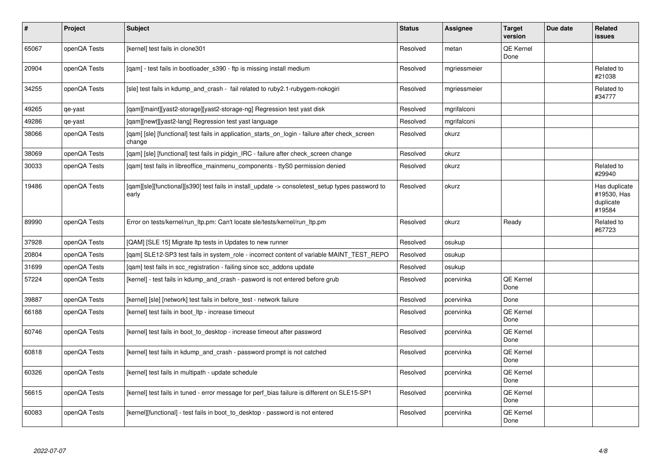| #     | Project      | <b>Subject</b>                                                                                            | <b>Status</b> | <b>Assignee</b> | <b>Target</b><br>version | Due date | <b>Related</b><br>issues                            |
|-------|--------------|-----------------------------------------------------------------------------------------------------------|---------------|-----------------|--------------------------|----------|-----------------------------------------------------|
| 65067 | openQA Tests | [kernel] test fails in clone301                                                                           | Resolved      | metan           | QE Kernel<br>Done        |          |                                                     |
| 20904 | openQA Tests | [qam] - test fails in bootloader_s390 - ftp is missing install medium                                     | Resolved      | mgriessmeier    |                          |          | Related to<br>#21038                                |
| 34255 | openQA Tests | [sle] test fails in kdump and crash - fail related to ruby2.1-rubygem-nokogiri                            | Resolved      | mgriessmeier    |                          |          | Related to<br>#34777                                |
| 49265 | qe-yast      | [gam][maint][yast2-storage][yast2-storage-ng] Regression test yast disk                                   | Resolved      | mgrifalconi     |                          |          |                                                     |
| 49286 | qe-yast      | [gam][newt][yast2-lang] Regression test yast language                                                     | Resolved      | mgrifalconi     |                          |          |                                                     |
| 38066 | openQA Tests | [qam] [sle] [functional] test fails in application_starts_on_login - failure after check_screen<br>change | Resolved      | okurz           |                          |          |                                                     |
| 38069 | openQA Tests | [qam] [sle] [functional] test fails in pidgin_IRC - failure after check_screen change                     | Resolved      | okurz           |                          |          |                                                     |
| 30033 | openQA Tests | [qam] test fails in libreoffice_mainmenu_components - ttyS0 permission denied                             | Resolved      | okurz           |                          |          | Related to<br>#29940                                |
| 19486 | openQA Tests | [qam][sle][functional][s390] test fails in install_update -> consoletest_setup types password to<br>early | Resolved      | okurz           |                          |          | Has duplicate<br>#19530, Has<br>duplicate<br>#19584 |
| 89990 | openQA Tests | Error on tests/kernel/run_ltp.pm: Can't locate sle/tests/kernel/run_ltp.pm                                | Resolved      | okurz           | Ready                    |          | Related to<br>#67723                                |
| 37928 | openQA Tests | [QAM] [SLE 15] Migrate Itp tests in Updates to new runner                                                 | Resolved      | osukup          |                          |          |                                                     |
| 20804 | openQA Tests | [gam] SLE12-SP3 test fails in system role - incorrect content of variable MAINT TEST REPO                 | Resolved      | osukup          |                          |          |                                                     |
| 31699 | openQA Tests | [qam] test fails in scc_registration - failing since scc_addons update                                    | Resolved      | osukup          |                          |          |                                                     |
| 57224 | openQA Tests | [kernel] - test fails in kdump_and_crash - pasword is not entered before grub                             | Resolved      | pcervinka       | QE Kernel<br>Done        |          |                                                     |
| 39887 | openQA Tests | [kernel] [sle] [network] test fails in before_test - network failure                                      | Resolved      | pcervinka       | Done                     |          |                                                     |
| 66188 | openQA Tests | [kernel] test fails in boot_ltp - increase timeout                                                        | Resolved      | pcervinka       | QE Kernel<br>Done        |          |                                                     |
| 60746 | openQA Tests | [kernel] test fails in boot_to_desktop - increase timeout after password                                  | Resolved      | pcervinka       | <b>QE Kernel</b><br>Done |          |                                                     |
| 60818 | openQA Tests | [kernel] test fails in kdump and crash - password prompt is not catched                                   | Resolved      | pcervinka       | QE Kernel<br>Done        |          |                                                     |
| 60326 | openQA Tests | [kernel] test fails in multipath - update schedule                                                        | Resolved      | pcervinka       | <b>QE Kernel</b><br>Done |          |                                                     |
| 56615 | openQA Tests | [kernel] test fails in tuned - error message for perf bias failure is different on SLE15-SP1              | Resolved      | pcervinka       | <b>QE Kernel</b><br>Done |          |                                                     |
| 60083 | openQA Tests | [kernel][functional] - test fails in boot_to_desktop - password is not entered                            | Resolved      | pcervinka       | QE Kernel<br>Done        |          |                                                     |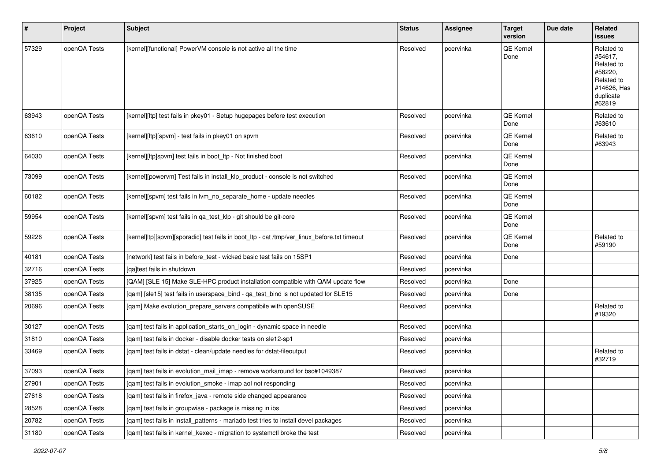| $\sharp$ | Project      | Subject                                                                                     | <b>Status</b> | Assignee  | <b>Target</b><br>version | Due date | Related<br>issues                                                                                  |
|----------|--------------|---------------------------------------------------------------------------------------------|---------------|-----------|--------------------------|----------|----------------------------------------------------------------------------------------------------|
| 57329    | openQA Tests | [kernel][functional] PowerVM console is not active all the time                             | Resolved      | pcervinka | QE Kernel<br>Done        |          | Related to<br>#54617,<br>Related to<br>#58220,<br>Related to<br>#14626, Has<br>duplicate<br>#62819 |
| 63943    | openQA Tests | [kernel][ltp] test fails in pkey01 - Setup hugepages before test execution                  | Resolved      | pcervinka | QE Kernel<br>Done        |          | Related to<br>#63610                                                                               |
| 63610    | openQA Tests | [kernel][ltp][spvm] - test fails in pkey01 on spvm                                          | Resolved      | pcervinka | QE Kernel<br>Done        |          | Related to<br>#63943                                                                               |
| 64030    | openQA Tests | [kernel][ltp]spvm] test fails in boot_ltp - Not finished boot                               | Resolved      | pcervinka | QE Kernel<br>Done        |          |                                                                                                    |
| 73099    | openQA Tests | [kernel][powervm] Test fails in install_klp_product - console is not switched               | Resolved      | pcervinka | QE Kernel<br>Done        |          |                                                                                                    |
| 60182    | openQA Tests | [kernel][spvm] test fails in lvm_no_separate_home - update needles                          | Resolved      | pcervinka | QE Kernel<br>Done        |          |                                                                                                    |
| 59954    | openQA Tests | [kernel][spvm] test fails in qa_test_klp - git should be git-core                           | Resolved      | pcervinka | QE Kernel<br>Done        |          |                                                                                                    |
| 59226    | openQA Tests | [kernel]ltp][spvm][sporadic] test fails in boot_ltp - cat /tmp/ver_linux_before.txt timeout | Resolved      | pcervinka | QE Kernel<br>Done        |          | Related to<br>#59190                                                                               |
| 40181    | openQA Tests | [network] test fails in before_test - wicked basic test fails on 15SP1                      | Resolved      | pcervinka | Done                     |          |                                                                                                    |
| 32716    | openQA Tests | [qa]test fails in shutdown                                                                  | Resolved      | pcervinka |                          |          |                                                                                                    |
| 37925    | openQA Tests | [QAM] [SLE 15] Make SLE-HPC product installation compatible with QAM update flow            | Resolved      | pcervinka | Done                     |          |                                                                                                    |
| 38135    | openQA Tests | [qam] [sle15] test fails in userspace_bind - qa_test_bind is not updated for SLE15          | Resolved      | pcervinka | Done                     |          |                                                                                                    |
| 20696    | openQA Tests | [qam] Make evolution_prepare_servers compatibile with openSUSE                              | Resolved      | pcervinka |                          |          | Related to<br>#19320                                                                               |
| 30127    | openQA Tests | [qam] test fails in application_starts_on_login - dynamic space in needle                   | Resolved      | pcervinka |                          |          |                                                                                                    |
| 31810    | openQA Tests | [qam] test fails in docker - disable docker tests on sle12-sp1                              | Resolved      | pcervinka |                          |          |                                                                                                    |
| 33469    | openQA Tests | [gam] test fails in dstat - clean/update needles for dstat-fileoutput                       | Resolved      | pcervinka |                          |          | Related to<br>#32719                                                                               |
| 37093    | openQA Tests | [gam] test fails in evolution mail imap - remove workaround for bsc#1049387                 | Resolved      | pcervinka |                          |          |                                                                                                    |
| 27901    | openQA Tests | [qam] test fails in evolution_smoke - imap aol not responding                               | Resolved      | pcervinka |                          |          |                                                                                                    |
| 27618    | openQA Tests | [qam] test fails in firefox_java - remote side changed appearance                           | Resolved      | pcervinka |                          |          |                                                                                                    |
| 28528    | openQA Tests | [qam] test fails in groupwise - package is missing in ibs                                   | Resolved      | pcervinka |                          |          |                                                                                                    |
| 20782    | openQA Tests | [qam] test fails in install_patterns - mariadb test tries to install devel packages         | Resolved      | pcervinka |                          |          |                                                                                                    |
| 31180    | openQA Tests | [qam] test fails in kernel_kexec - migration to systemctl broke the test                    | Resolved      | pcervinka |                          |          |                                                                                                    |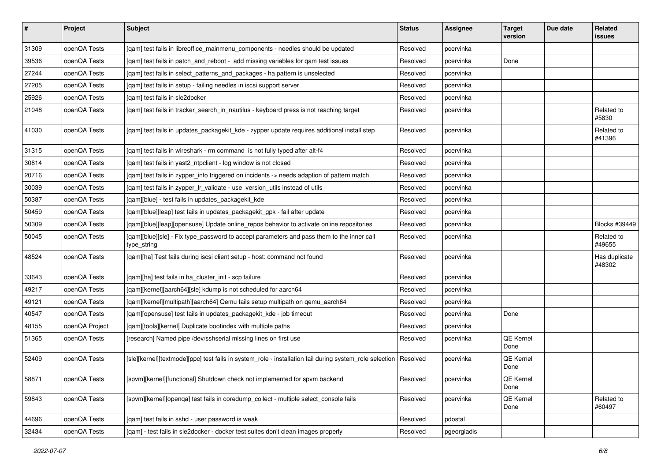| $\vert$ # | Project        | <b>Subject</b>                                                                                                   | <b>Status</b> | <b>Assignee</b> | <b>Target</b><br>version | Due date | <b>Related</b><br>issues |
|-----------|----------------|------------------------------------------------------------------------------------------------------------------|---------------|-----------------|--------------------------|----------|--------------------------|
| 31309     | openQA Tests   | [qam] test fails in libreoffice_mainmenu_components - needles should be updated                                  | Resolved      | pcervinka       |                          |          |                          |
| 39536     | openQA Tests   | [qam] test fails in patch_and_reboot - add missing variables for qam test issues                                 | Resolved      | pcervinka       | Done                     |          |                          |
| 27244     | openQA Tests   | [qam] test fails in select_patterns_and_packages - ha pattern is unselected                                      | Resolved      | pcervinka       |                          |          |                          |
| 27205     | openQA Tests   | [qam] test fails in setup - failing needles in iscsi support server                                              | Resolved      | pcervinka       |                          |          |                          |
| 25926     | openQA Tests   | [gam] test fails in sle2docker                                                                                   | Resolved      | pcervinka       |                          |          |                          |
| 21048     | openQA Tests   | [qam] test fails in tracker_search_in_nautilus - keyboard press is not reaching target                           | Resolved      | pcervinka       |                          |          | Related to<br>#5830      |
| 41030     | openQA Tests   | [qam] test fails in updates_packagekit_kde - zypper update requires additional install step                      | Resolved      | pcervinka       |                          |          | Related to<br>#41396     |
| 31315     | openQA Tests   | [qam] test fails in wireshark - rm command is not fully typed after alt-f4                                       | Resolved      | pcervinka       |                          |          |                          |
| 30814     | openQA Tests   | [qam] test fails in yast2_ntpclient - log window is not closed                                                   | Resolved      | pcervinka       |                          |          |                          |
| 20716     | openQA Tests   | [qam] test fails in zypper_info triggered on incidents -> needs adaption of pattern match                        | Resolved      | pcervinka       |                          |          |                          |
| 30039     | openQA Tests   | [qam] test fails in zypper_lr_validate - use version_utils instead of utils                                      | Resolved      | pcervinka       |                          |          |                          |
| 50387     | openQA Tests   | [qam][blue] - test fails in updates_packagekit_kde                                                               | Resolved      | pcervinka       |                          |          |                          |
| 50459     | openQA Tests   | [qam][blue][leap] test fails in updates_packagekit_gpk - fail after update                                       | Resolved      | pcervinka       |                          |          |                          |
| 50309     | openQA Tests   | [qam][blue][leap][opensuse] Update online_repos behavior to activate online repositories                         | Resolved      | pcervinka       |                          |          | Blocks #39449            |
| 50045     | openQA Tests   | [qam][blue][sle] - Fix type_password to accept parameters and pass them to the inner call<br>type_string         | Resolved      | pcervinka       |                          |          | Related to<br>#49655     |
| 48524     | openQA Tests   | [qam][ha] Test fails during iscsi client setup - host: command not found                                         | Resolved      | pcervinka       |                          |          | Has duplicate<br>#48302  |
| 33643     | openQA Tests   | [qam][ha] test fails in ha_cluster_init - scp failure                                                            | Resolved      | pcervinka       |                          |          |                          |
| 49217     | openQA Tests   | [qam][kernel][aarch64][sle] kdump is not scheduled for aarch64                                                   | Resolved      | pcervinka       |                          |          |                          |
| 49121     | openQA Tests   | [qam][kernel][multipath][aarch64] Qemu fails setup multipath on qemu_aarch64                                     | Resolved      | pcervinka       |                          |          |                          |
| 40547     | openQA Tests   | [qam][opensuse] test fails in updates_packagekit_kde - job timeout                                               | Resolved      | pcervinka       | Done                     |          |                          |
| 48155     | openQA Project | [qam][tools][kernel] Duplicate bootindex with multiple paths                                                     | Resolved      | pcervinka       |                          |          |                          |
| 51365     | openQA Tests   | [research] Named pipe /dev/sshserial missing lines on first use                                                  | Resolved      | pcervinka       | QE Kernel<br>Done        |          |                          |
| 52409     | openQA Tests   | [sle][kernel][textmode][ppc] test fails in system_role - installation fail during system_role selection Resolved |               | pcervinka       | QE Kernel<br>Done        |          |                          |
| 58871     | openQA Tests   | [spvm][kernel][functional] Shutdown check not implemented for spvm backend                                       | Resolved      | pcervinka       | QE Kernel<br>Done        |          |                          |
| 59843     | openQA Tests   | [spvm][kernel][openqa] test fails in coredump_collect - multiple select_console fails                            | Resolved      | pcervinka       | QE Kernel<br>Done        |          | Related to<br>#60497     |
| 44696     | openQA Tests   | [qam] test fails in sshd - user password is weak                                                                 | Resolved      | pdostal         |                          |          |                          |
| 32434     | openQA Tests   | [qam] - test fails in sle2docker - docker test suites don't clean images properly                                | Resolved      | pgeorgiadis     |                          |          |                          |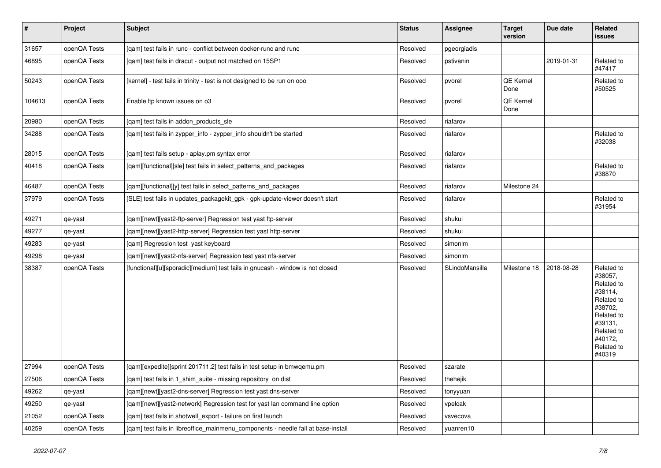| $\vert$ # | Project      | <b>Subject</b>                                                                    | <b>Status</b> | Assignee       | <b>Target</b><br>version | Due date   | Related<br><b>issues</b>                                                                                                                          |
|-----------|--------------|-----------------------------------------------------------------------------------|---------------|----------------|--------------------------|------------|---------------------------------------------------------------------------------------------------------------------------------------------------|
| 31657     | openQA Tests | [qam] test fails in runc - conflict between docker-runc and runc                  | Resolved      | pgeorgiadis    |                          |            |                                                                                                                                                   |
| 46895     | openQA Tests | [qam] test fails in dracut - output not matched on 15SP1                          | Resolved      | pstivanin      |                          | 2019-01-31 | Related to<br>#47417                                                                                                                              |
| 50243     | openQA Tests | [kernel] - test fails in trinity - test is not designed to be run on ooo          | Resolved      | pvorel         | QE Kernel<br>Done        |            | Related to<br>#50525                                                                                                                              |
| 104613    | openQA Tests | Enable Itp known issues on o3                                                     | Resolved      | pvorel         | QE Kernel<br>Done        |            |                                                                                                                                                   |
| 20980     | openQA Tests | [qam] test fails in addon_products_sle                                            | Resolved      | riafarov       |                          |            |                                                                                                                                                   |
| 34288     | openQA Tests | [qam] test fails in zypper_info - zypper_info shouldn't be started                | Resolved      | riafarov       |                          |            | Related to<br>#32038                                                                                                                              |
| 28015     | openQA Tests | [gam] test fails setup - aplay.pm syntax error                                    | Resolved      | riafarov       |                          |            |                                                                                                                                                   |
| 40418     | openQA Tests | [gam][functional][sle] test fails in select patterns and packages                 | Resolved      | riafarov       |                          |            | Related to<br>#38870                                                                                                                              |
| 46487     | openQA Tests | [qam][functional][y] test fails in select_patterns_and_packages                   | Resolved      | riafarov       | Milestone 24             |            |                                                                                                                                                   |
| 37979     | openQA Tests | [SLE] test fails in updates_packagekit_gpk - gpk-update-viewer doesn't start      | Resolved      | riafarov       |                          |            | Related to<br>#31954                                                                                                                              |
| 49271     | qe-yast      | [qam][newt][yast2-ftp-server] Regression test yast ftp-server                     | Resolved      | shukui         |                          |            |                                                                                                                                                   |
| 49277     | qe-yast      | [qam][newt][yast2-http-server] Regression test yast http-server                   | Resolved      | shukui         |                          |            |                                                                                                                                                   |
| 49283     | qe-yast      | [qam] Regression test yast keyboard                                               | Resolved      | simonlm        |                          |            |                                                                                                                                                   |
| 49298     | qe-yast      | [qam][newt][yast2-nfs-server] Regression test yast nfs-server                     | Resolved      | simonlm        |                          |            |                                                                                                                                                   |
| 38387     | openQA Tests | [functional][u][sporadic][medium] test fails in gnucash - window is not closed    | Resolved      | SLindoMansilla | Milestone 18             | 2018-08-28 | Related to<br>#38057.<br>Related to<br>#38114,<br>Related to<br>#38702,<br>Related to<br>#39131,<br>Related to<br>#40172,<br>Related to<br>#40319 |
| 27994     | openQA Tests | [qam][expedite][sprint 201711.2] test fails in test setup in bmwqemu.pm           | Resolved      | szarate        |                          |            |                                                                                                                                                   |
| 27506     | openQA Tests | [qam] test fails in 1_shim_suite - missing repository on dist                     | Resolved      | thehejik       |                          |            |                                                                                                                                                   |
| 49262     | qe-yast      | [qam][newt][yast2-dns-server] Regression test yast dns-server                     | Resolved      | tonyyuan       |                          |            |                                                                                                                                                   |
| 49250     | qe-yast      | [qam][newt][yast2-network] Regression test for yast lan command line option       | Resolved      | vpelcak        |                          |            |                                                                                                                                                   |
| 21052     | openQA Tests | [qam] test fails in shotwell_export - failure on first launch                     | Resolved      | vsvecova       |                          |            |                                                                                                                                                   |
| 40259     | openQA Tests | [gam] test fails in libreoffice mainmenu components - needle fail at base-install | Resolved      | yuanren10      |                          |            |                                                                                                                                                   |